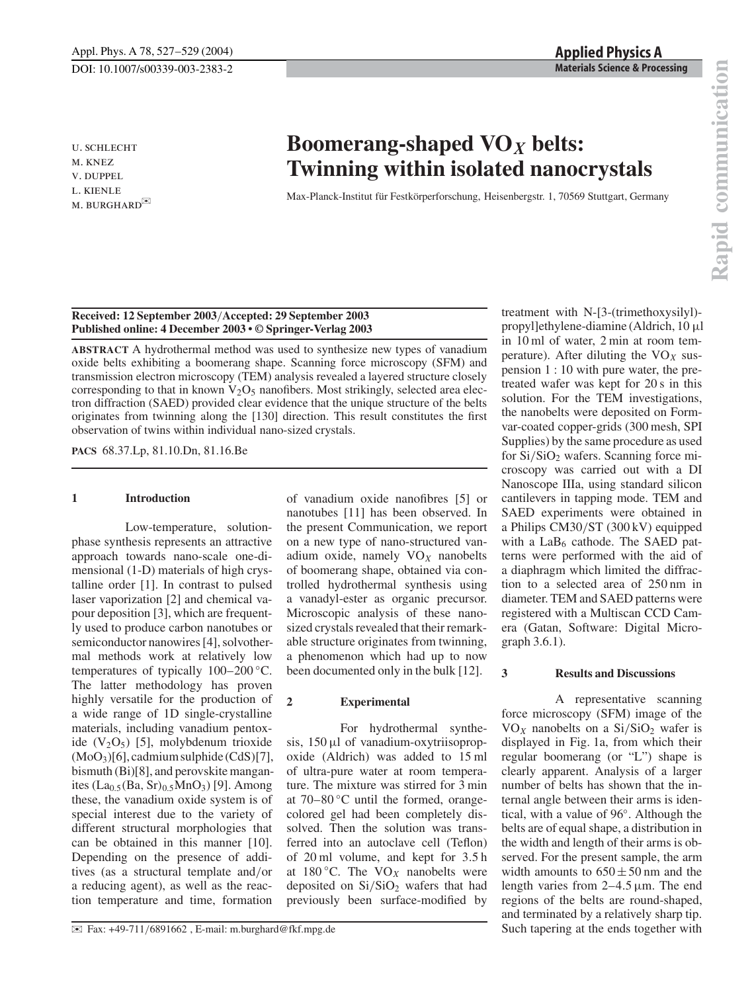u. schlecht m. knez v. duppel l. kienle M. BURGHARD

# **Boomerang-shaped VO***<sup>X</sup>* **belts: Twinning within isolated nanocrystals**

Max-Planck-Institut für Festkörperforschung, Heisenbergstr. 1, 70569 Stuttgart, Germany

## **Received: 12 September 2003**/**Accepted: 29 September 2003 Published online: 4 December 2003 • © Springer-Verlag 2003**

**ABSTRACT** A hydrothermal method was used to synthesize new types of vanadium oxide belts exhibiting a boomerang shape. Scanning force microscopy (SFM) and transmission electron microscopy (TEM) analysis revealed a layered structure closely corresponding to that in known  $V_2O_5$  nanofibers. Most strikingly, selected area electron diffraction (SAED) provided clear evidence that the unique structure of the belts originates from twinning along the [130] direction. This result constitutes the first observation of twins within individual nano-sized crystals.

> of vanadium oxide nanofibres [5] or nanotubes [11] has been observed. In the present Communication, we report on a new type of nano-structured vanadium oxide, namely VO*<sup>X</sup>* nanobelts of boomerang shape, obtained via controlled hydrothermal synthesis using a vanadyl-ester as organic precursor. Microscopic analysis of these nanosized crystals revealed that their remarkable structure originates from twinning, a phenomenon which had up to now been documented only in the bulk [12].

**PACS** 68.37.Lp, 81.10.Dn, 81.16.Be

### **1 Introduction**

Low-temperature, solutionphase synthesis represents an attractive approach towards nano-scale one-dimensional (1-D) materials of high crystalline order [1]. In contrast to pulsed laser vaporization [2] and chemical vapour deposition [3], which are frequently used to produce carbon nanotubes or semiconductor nanowires [4], solvothermal methods work at relatively low temperatures of typically 100–200 ◦C. The latter methodology has proven highly versatile for the production of a wide range of 1D single-crystalline materials, including vanadium pentoxide  $(V_2O_5)$  [5], molybdenum trioxide (MoO3)[6], cadmium sulphide (CdS)[7], bismuth (Bi)[8], and perovskite manganites (La $_{0.5}$ (Ba, Sr) $_{0.5}$ MnO<sub>3</sub>) [9]. Among these, the vanadium oxide system is of special interest due to the variety of different structural morphologies that can be obtained in this manner [10]. Depending on the presence of additives (as a structural template and/or a reducing agent), as well as the reaction temperature and time, formation

**2 Experimental**

For hydrothermal synthe-

sis, 150 µl of vanadium-oxytriisopropoxide (Aldrich) was added to 15 ml of ultra-pure water at room temperature. The mixture was stirred for 3 min

deposited on  $Si/SiO<sub>2</sub>$  wafers that had previously been surface-modified by treatment with N-[3-(trimethoxysilyl) propyl]ethylene-diamine (Aldrich, 10 µl in 10 ml of water, 2 min at room temperature). After diluting the  $VO<sub>X</sub>$  suspension 1 : 10 with pure water, the pretreated wafer was kept for 20 s in this solution. For the TEM investigations, the nanobelts were deposited on Formvar-coated copper-grids (300 mesh, SPI Supplies) by the same procedure as used for  $Si/SiO<sub>2</sub>$  wafers. Scanning force microscopy was carried out with a DI Nanoscope IIIa, using standard silicon cantilevers in tapping mode. TEM and SAED experiments were obtained in a Philips CM30/ST (300 kV) equipped with a  $LaB<sub>6</sub>$  cathode. The SAED patterns were performed with the aid of a diaphragm which limited the diffraction to a selected area of 250 nm in diameter. TEM and SAED patterns were registered with a Multiscan CCD Camera (Gatan, Software: Digital Micrograph 3.6.1).

#### **3 Results and Discussions**

A representative scanning force microscopy (SFM) image of the  $VO<sub>X</sub>$  nanobelts on a Si/SiO<sub>2</sub> wafer is displayed in Fig. 1a, from which their regular boomerang (or "L") shape is clearly apparent. Analysis of a larger number of belts has shown that the internal angle between their arms is identical, with a value of 96◦. Although the belts are of equal shape, a distribution in the width and length of their arms is observed. For the present sample, the arm width amounts to  $650 \pm 50$  nm and the length varies from  $2-4.5 \mu m$ . The end regions of the belts are round-shaped, and terminated by a relatively sharp tip. Such tapering at the ends together with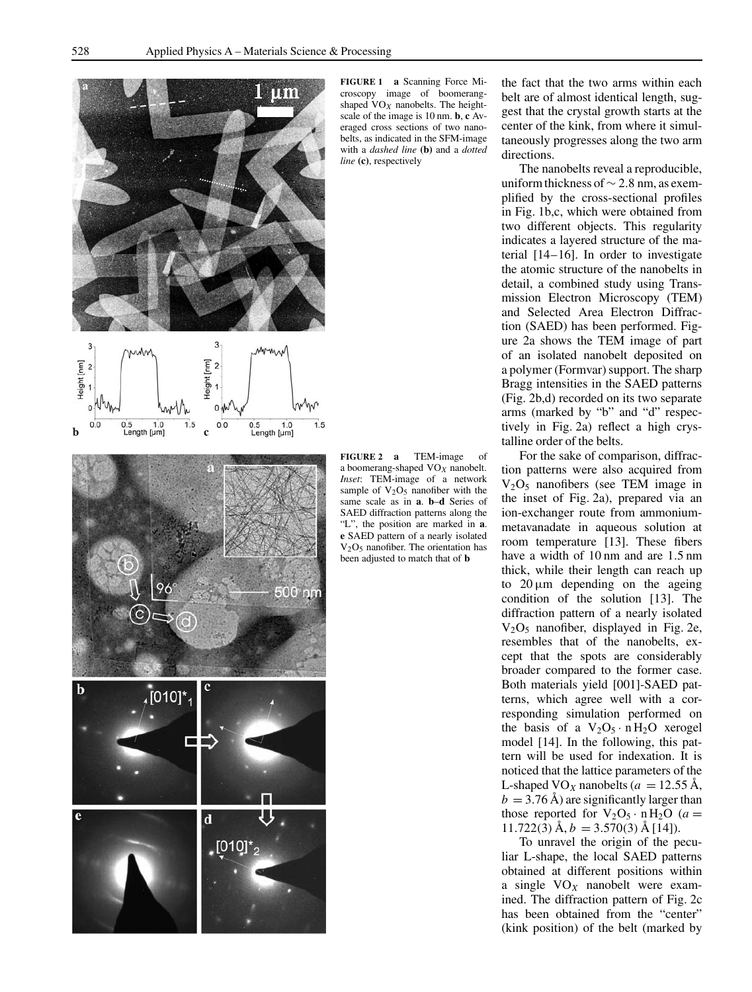

**FIGURE 1 a** Scanning Force Microscopy image of boomerangshaped  $VO<sub>X</sub>$  nanobelts. The heightscale of the image is 10 nm. **b**, **c** Averaged cross sections of two nanobelts, as indicated in the SFM-image with a *dashed line* **(b)** and a *dotted line* **(c)**, respectively

500 nm  $\mathbf b$  $[010]$ \* ┍  $\mathbf d$  $[010]^*$ 

**FIGURE 2 a** TEM-image of a boomerang-shaped VO*<sup>X</sup>* nanobelt. *Inset*: TEM-image of a network sample of  $V_2O_5$  nanofiber with the same scale as in **a**. **b**–**d** Series of SAED diffraction patterns along the "L", the position are marked in **a**. **e** SAED pattern of a nearly isolated  $V<sub>2</sub>O<sub>5</sub>$  nanofiber. The orientation has been adjusted to match that of **b**

the fact that the two arms within each belt are of almost identical length, suggest that the crystal growth starts at the center of the kink, from where it simultaneously progresses along the two arm directions.

The nanobelts reveal a reproducible, uniform thickness of∼ 2.8 nm, as exemplified by the cross-sectional profiles in Fig. 1b,c, which were obtained from two different objects. This regularity indicates a layered structure of the material [14–16]. In order to investigate the atomic structure of the nanobelts in detail, a combined study using Transmission Electron Microscopy (TEM) and Selected Area Electron Diffraction (SAED) has been performed. Figure 2a shows the TEM image of part of an isolated nanobelt deposited on a polymer (Formvar) support. The sharp Bragg intensities in the SAED patterns (Fig. 2b,d) recorded on its two separate arms (marked by "b" and "d" respectively in Fig. 2a) reflect a high crystalline order of the belts.

For the sake of comparison, diffraction patterns were also acquired from  $V_2O_5$  nanofibers (see TEM image in the inset of Fig. 2a), prepared via an ion-exchanger route from ammoniummetavanadate in aqueous solution at room temperature [13]. These fibers have a width of 10 nm and are 1.5 nm thick, while their length can reach up to  $20 \mu m$  depending on the ageing condition of the solution [13]. The diffraction pattern of a nearly isolated  $V_2O_5$  nanofiber, displayed in Fig. 2e, resembles that of the nanobelts, except that the spots are considerably broader compared to the former case. Both materials yield [001]-SAED patterns, which agree well with a corresponding simulation performed on the basis of a  $V_2O_5 \cdot nH_2O$  xerogel model [14]. In the following, this pattern will be used for indexation. It is noticed that the lattice parameters of the L-shaped VO<sub>X</sub> nanobelts ( $a = 12.55 \text{ Å}$ ,  $b = 3.76$  Å) are significantly larger than those reported for  $V_2O_5 \cdot n H_2O$  (*a* =  $11.722(3)$   $\dot{A}$ ,  $b = 3.570(3)$   $\dot{A}$  [14]).

To unravel the origin of the peculiar L-shape, the local SAED patterns obtained at different positions within a single VO*<sup>X</sup>* nanobelt were examined. The diffraction pattern of Fig. 2c has been obtained from the "center" (kink position) of the belt (marked by